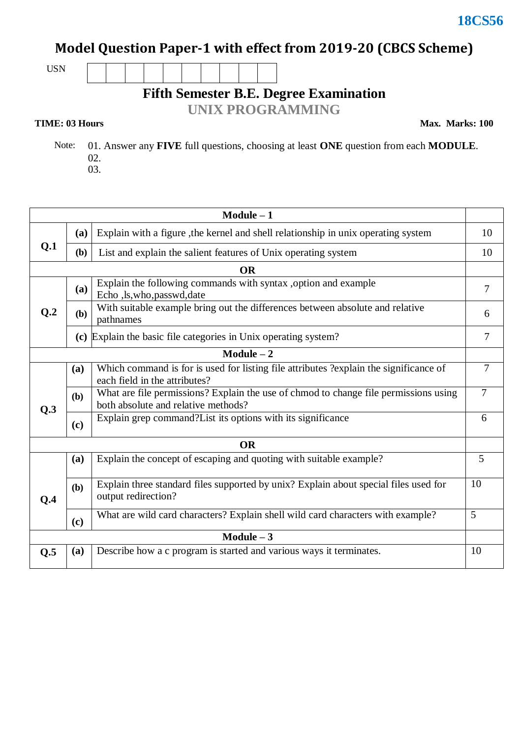# **Model Question Paper-1 with effect from 2019-20 (CBCS Scheme)**

USN

**Fifth Semester B.E. Degree Examination**

**UNIX PROGRAMMING**

### **TIME: 03 Hours**

**Max. Marks: 100**

 Note: 01. Answer any **FIVE** full questions, choosing at least **ONE** question from each **MODULE**. 02.

03.

| $Module - 1$ |            |                                                                                                                             |                |  |  |  |
|--------------|------------|-----------------------------------------------------------------------------------------------------------------------------|----------------|--|--|--|
|              | (a)        | Explain with a figure, the kernel and shell relationship in unix operating system                                           |                |  |  |  |
| Q.1          | (b)        | List and explain the salient features of Unix operating system                                                              |                |  |  |  |
|              |            | <b>OR</b>                                                                                                                   |                |  |  |  |
| Q.2          | (a)        | Explain the following commands with syntax ,option and example<br>Echo ,ls,who,passwd,date                                  |                |  |  |  |
|              | (b)        | With suitable example bring out the differences between absolute and relative<br>pathnames                                  |                |  |  |  |
|              |            | (c) Explain the basic file categories in Unix operating system?                                                             | $\tau$         |  |  |  |
|              |            | $Module - 2$                                                                                                                |                |  |  |  |
|              | (a)        | Which command is for is used for listing file attributes ?explain the significance of<br>each field in the attributes?      |                |  |  |  |
| Q.3          | <b>(b)</b> | What are file permissions? Explain the use of chmod to change file permissions using<br>both absolute and relative methods? |                |  |  |  |
|              | (c)        | Explain grep command? List its options with its significance                                                                | 6              |  |  |  |
|              |            | <b>OR</b>                                                                                                                   |                |  |  |  |
|              | (a)        | Explain the concept of escaping and quoting with suitable example?                                                          | 5              |  |  |  |
| Q.4          | <b>(b)</b> | Explain three standard files supported by unix? Explain about special files used for<br>output redirection?                 |                |  |  |  |
|              | (c)        | What are wild card characters? Explain shell wild card characters with example?                                             | $\mathfrak{S}$ |  |  |  |
| $Module - 3$ |            |                                                                                                                             |                |  |  |  |
| Q.5          | (a)        | Describe how a c program is started and various ways it terminates.                                                         | 10             |  |  |  |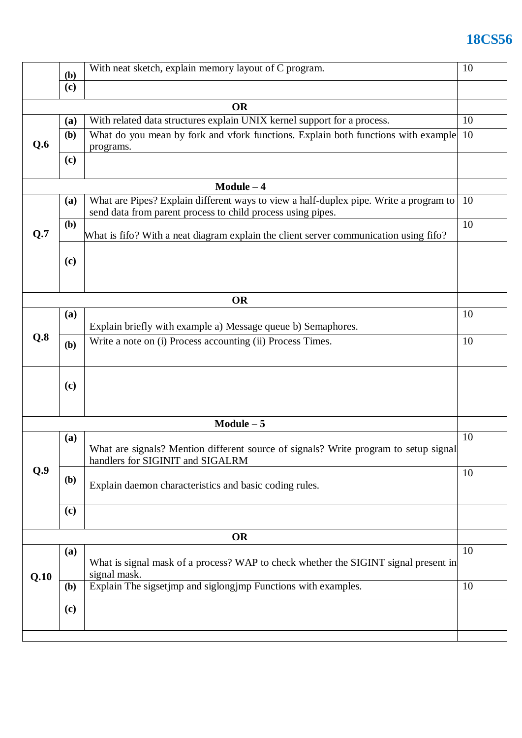# **18CS56**

|           |              | With neat sketch, explain memory layout of C program.<br>( <b>b</b> )                                                                                |    |  |  |  |
|-----------|--------------|------------------------------------------------------------------------------------------------------------------------------------------------------|----|--|--|--|
|           | (c)          |                                                                                                                                                      |    |  |  |  |
|           |              | <b>OR</b>                                                                                                                                            |    |  |  |  |
|           | (a)          | With related data structures explain UNIX kernel support for a process.                                                                              | 10 |  |  |  |
| Q.6       | (b)          | What do you mean by fork and vfork functions. Explain both functions with example<br>10<br>programs.                                                 |    |  |  |  |
|           | (c)          |                                                                                                                                                      |    |  |  |  |
|           |              | $Module - 4$                                                                                                                                         |    |  |  |  |
|           | (a)          | What are Pipes? Explain different ways to view a half-duplex pipe. Write a program to<br>send data from parent process to child process using pipes. | 10 |  |  |  |
| Q.7       | (b)          | What is fifo? With a neat diagram explain the client server communication using fifo?                                                                | 10 |  |  |  |
|           | (c)          |                                                                                                                                                      |    |  |  |  |
|           |              | <b>OR</b>                                                                                                                                            |    |  |  |  |
|           | (a)          | Explain briefly with example a) Message queue b) Semaphores.                                                                                         | 10 |  |  |  |
| Q.8       | (b)          | Write a note on (i) Process accounting (ii) Process Times.                                                                                           | 10 |  |  |  |
|           | (c)          |                                                                                                                                                      |    |  |  |  |
|           |              | $Module - 5$                                                                                                                                         |    |  |  |  |
| Q.9       | (a)          | What are signals? Mention different source of signals? Write program to setup signal<br>handlers for SIGINIT and SIGALRM                             | 10 |  |  |  |
|           | (b)          | Explain daemon characteristics and basic coding rules.                                                                                               |    |  |  |  |
|           | (c)          |                                                                                                                                                      |    |  |  |  |
| <b>OR</b> |              |                                                                                                                                                      |    |  |  |  |
| Q.10      | (a)          | What is signal mask of a process? WAP to check whether the SIGINT signal present in<br>signal mask.                                                  | 10 |  |  |  |
|           | ( <b>b</b> ) | Explain The sigsetjmp and siglongjmp Functions with examples.<br>10                                                                                  |    |  |  |  |
|           | (c)          |                                                                                                                                                      |    |  |  |  |
|           |              |                                                                                                                                                      |    |  |  |  |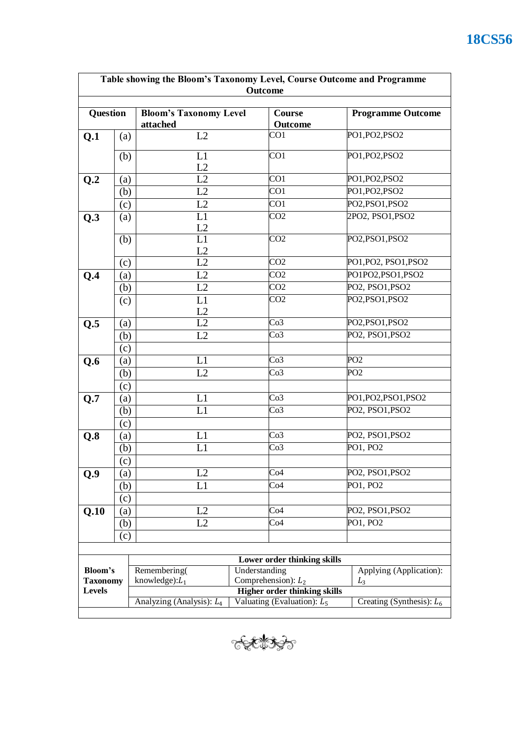| Table showing the Bloom's Taxonomy Level, Course Outcome and Programme<br>Outcome |     |                                                                                            |               |                             |  |                             |  |
|-----------------------------------------------------------------------------------|-----|--------------------------------------------------------------------------------------------|---------------|-----------------------------|--|-----------------------------|--|
| <b>Question</b>                                                                   |     | <b>Bloom's Taxonomy Level</b><br>attached                                                  |               | <b>Course</b><br>Outcome    |  | <b>Programme Outcome</b>    |  |
| Q.1                                                                               | (a) | L2                                                                                         |               | CO <sub>1</sub>             |  | PO1, PO2, PSO2              |  |
|                                                                                   | (b) | L1<br>L2                                                                                   |               | CO <sub>1</sub>             |  | PO1, PO2, PSO2              |  |
| Q.2                                                                               | (a) | L2                                                                                         |               | CO <sub>1</sub>             |  | PO1, PO2, PSO2              |  |
|                                                                                   | (b) | L2                                                                                         |               | CO <sub>1</sub>             |  | PO1, PO2, PSO2              |  |
|                                                                                   | (c) | L2                                                                                         |               | CO <sub>1</sub>             |  | PO2, PSO1, PSO2             |  |
| Q.3                                                                               | (a) | L1<br>L2                                                                                   |               | CO <sub>2</sub>             |  | 2PO2, PSO1, PSO2            |  |
|                                                                                   | (b) | L1<br>L2                                                                                   |               | CO <sub>2</sub>             |  | PO2, PSO1, PSO2             |  |
|                                                                                   | (c) | L2                                                                                         |               | CO <sub>2</sub>             |  | PO1, PO2, PSO1, PSO2        |  |
| Q.4                                                                               | (a) | L2                                                                                         |               | CO <sub>2</sub>             |  | PO1PO2,PSO1,PSO2            |  |
|                                                                                   | (b) | L2                                                                                         |               | CO <sub>2</sub>             |  | PO2, PSO1, PSO2             |  |
|                                                                                   | (c) | L1<br>L2                                                                                   |               | CO <sub>2</sub>             |  | PO2, PSO1, PSO2             |  |
| $Q.\overline{5}$                                                                  | (a) | $\overline{L2}$                                                                            |               | Co <sub>3</sub>             |  | PO2, PSO1, PSO2             |  |
|                                                                                   | (b) | L2                                                                                         |               | Co <sub>3</sub>             |  | PO2, PSO1, PSO2             |  |
|                                                                                   | (c) |                                                                                            |               |                             |  |                             |  |
| Q.6                                                                               | (a) | L1                                                                                         |               | Co <sub>3</sub>             |  | PO <sub>2</sub>             |  |
|                                                                                   | (b) | L2                                                                                         |               | Co <sub>3</sub>             |  | PO <sub>2</sub>             |  |
|                                                                                   | (c) |                                                                                            |               |                             |  |                             |  |
| Q.7                                                                               | (a) | L1                                                                                         |               | Co <sub>3</sub>             |  | PO1, PO2, PSO1, PSO2        |  |
|                                                                                   | (b) | L1                                                                                         |               | Co <sub>3</sub>             |  | PO2, PSO1, PSO2             |  |
|                                                                                   | (c) |                                                                                            |               |                             |  |                             |  |
| Q.8                                                                               | (a) | L1                                                                                         |               | Co <sub>3</sub>             |  | PO2, PSO1, PSO2             |  |
|                                                                                   | (b) | L1                                                                                         |               | Co <sub>3</sub>             |  | PO1, PO2                    |  |
|                                                                                   | (c) |                                                                                            |               |                             |  |                             |  |
| Q.9                                                                               | (a) | L2                                                                                         |               | Co4                         |  | PO2, PSO1, PSO2             |  |
|                                                                                   | (b) | L1                                                                                         |               | Co4                         |  | PO1, PO2                    |  |
|                                                                                   | (c) |                                                                                            |               |                             |  |                             |  |
| Q.10                                                                              | (a) | L2                                                                                         |               | Co4                         |  | PO2, PSO1, PSO2             |  |
|                                                                                   | (b) | L2                                                                                         |               | Co4                         |  | PO1, PO2                    |  |
|                                                                                   | (c) |                                                                                            |               |                             |  |                             |  |
|                                                                                   |     |                                                                                            |               |                             |  |                             |  |
|                                                                                   |     |                                                                                            |               | Lower order thinking skills |  |                             |  |
| Bloom's<br><b>Taxonomy</b><br>Levels                                              |     | Remembering(                                                                               | Understanding |                             |  | Applying (Application):     |  |
|                                                                                   |     | Comprehension): $L_2$<br>knowledge): $L_1$<br>$L_3$<br><b>Higher order thinking skills</b> |               |                             |  |                             |  |
|                                                                                   |     | Valuating (Evaluation): $L_5$<br>Analyzing (Analysis): $L_4$                               |               |                             |  | Creating (Synthesis): $L_6$ |  |
|                                                                                   |     |                                                                                            |               |                             |  |                             |  |

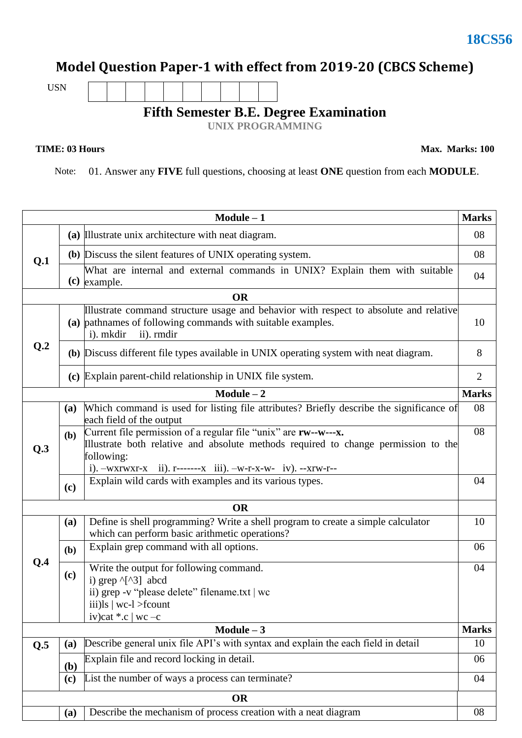# **Model Question Paper-1 with effect from 2019-20 (CBCS Scheme)**

USN

## **Fifth Semester B.E. Degree Examination**

**UNIX PROGRAMMING**

**TIME: 03 Hours** Max. Marks: 100

Note: 01. Answer any **FIVE** full questions, choosing at least **ONE** question from each **MODULE**.

|                             |     | $Module - 1$                                                                                                                                                                                                                                         | <b>Marks</b>   |  |  |  |
|-----------------------------|-----|------------------------------------------------------------------------------------------------------------------------------------------------------------------------------------------------------------------------------------------------------|----------------|--|--|--|
| Q.1                         |     | (a) Illustrate unix architecture with neat diagram.                                                                                                                                                                                                  |                |  |  |  |
|                             |     | (b) Discuss the silent features of UNIX operating system.                                                                                                                                                                                            | 08             |  |  |  |
|                             |     | What are internal and external commands in UNIX? Explain them with suitable<br>$(c)$ example.                                                                                                                                                        | 04             |  |  |  |
|                             |     | <b>OR</b>                                                                                                                                                                                                                                            |                |  |  |  |
|                             |     | Illustrate command structure usage and behavior with respect to absolute and relative<br>(a) pathnames of following commands with suitable examples.<br>i). mkdir<br>ii). rmdir                                                                      |                |  |  |  |
| Q.2                         |     | (b) Discuss different file types available in UNIX operating system with neat diagram.                                                                                                                                                               | 8              |  |  |  |
|                             |     | (c) Explain parent-child relationship in UNIX file system.                                                                                                                                                                                           | $\overline{2}$ |  |  |  |
|                             |     | $Module - 2$                                                                                                                                                                                                                                         | <b>Marks</b>   |  |  |  |
|                             | (a) | Which command is used for listing file attributes? Briefly describe the significance of<br>each field of the output                                                                                                                                  |                |  |  |  |
| Q.3                         | (b) | Current file permission of a regular file "unix" are <b>rw</b> --w---x.<br>Illustrate both relative and absolute methods required to change permission to the<br>following:<br>i). $-wxrwxr-x$ ii). $r$ ------- $x$ iii). $-w-r-x-w-$ iv). $-xrw-r-$ | 08             |  |  |  |
|                             | (c) | Explain wild cards with examples and its various types.                                                                                                                                                                                              | 04             |  |  |  |
|                             |     | <b>OR</b>                                                                                                                                                                                                                                            |                |  |  |  |
|                             | (a) | Define is shell programming? Write a shell program to create a simple calculator<br>which can perform basic arithmetic operations?                                                                                                                   | 10             |  |  |  |
|                             | (b) | Explain grep command with all options.                                                                                                                                                                                                               | 06             |  |  |  |
| Q.4                         | (c) | Write the output for following command.<br>i) grep ^[^3] abcd<br>ii) grep -v "please delete" filename.txt   wc<br>iii) $\vert$ s $\vert$ wc- $\vert$ >fcount<br>iv)cat $*.c$   wc -c                                                                 | 04             |  |  |  |
| Module $-3$<br><b>Marks</b> |     |                                                                                                                                                                                                                                                      |                |  |  |  |
| Q.5                         | (a) | Describe general unix file API's with syntax and explain the each field in detail                                                                                                                                                                    | 10             |  |  |  |
|                             | (b) | Explain file and record locking in detail.                                                                                                                                                                                                           | 06             |  |  |  |
|                             | (c) | List the number of ways a process can terminate?                                                                                                                                                                                                     | 04             |  |  |  |
| <b>OR</b>                   |     |                                                                                                                                                                                                                                                      |                |  |  |  |
|                             | (a) | Describe the mechanism of process creation with a neat diagram                                                                                                                                                                                       | 08             |  |  |  |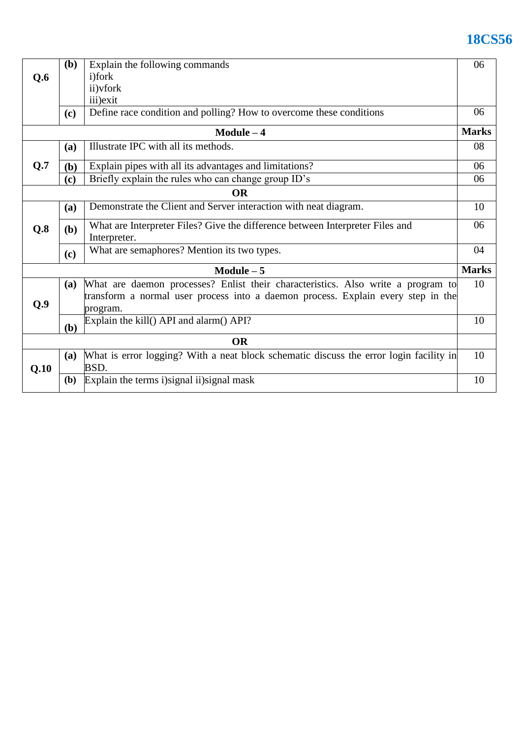# **18CS56**

|              | ( <b>b</b> ) | Explain the following commands                                                                 | 06           |  |  |  |
|--------------|--------------|------------------------------------------------------------------------------------------------|--------------|--|--|--|
| Q.6          |              | <i>i</i> )fork                                                                                 |              |  |  |  |
|              |              | ii) vfork                                                                                      |              |  |  |  |
|              |              | iii) exit                                                                                      |              |  |  |  |
|              | (c)          | Define race condition and polling? How to overcome these conditions                            | 06           |  |  |  |
| $Module - 4$ |              |                                                                                                |              |  |  |  |
|              | (a)          | Illustrate IPC with all its methods.                                                           | 08           |  |  |  |
| Q.7          | (b)          | Explain pipes with all its advantages and limitations?                                         | 06           |  |  |  |
|              | (c)          | Briefly explain the rules who can change group ID's                                            | 06           |  |  |  |
|              |              | <b>OR</b>                                                                                      |              |  |  |  |
|              | (a)          | Demonstrate the Client and Server interaction with neat diagram.                               | 10           |  |  |  |
| Q.8          | (b)          | What are Interpreter Files? Give the difference between Interpreter Files and<br>Interpreter.  | 06           |  |  |  |
|              | (c)          | What are semaphores? Mention its two types.                                                    | 04           |  |  |  |
|              |              | $Module - 5$                                                                                   | <b>Marks</b> |  |  |  |
|              | (a)          | What are daemon processes? Enlist their characteristics. Also write a program to               | 10           |  |  |  |
| Q.9          |              | transform a normal user process into a daemon process. Explain every step in the<br>program.   |              |  |  |  |
|              | (b)          | Explain the kill() API and alarm() API?                                                        | 10           |  |  |  |
| <b>OR</b>    |              |                                                                                                |              |  |  |  |
| Q.10         | (a)          | What is error logging? With a neat block schematic discuss the error login facility in<br>BSD. | 10           |  |  |  |
|              | <b>(b)</b>   | Explain the terms i) signal ii) signal mask                                                    | 10           |  |  |  |